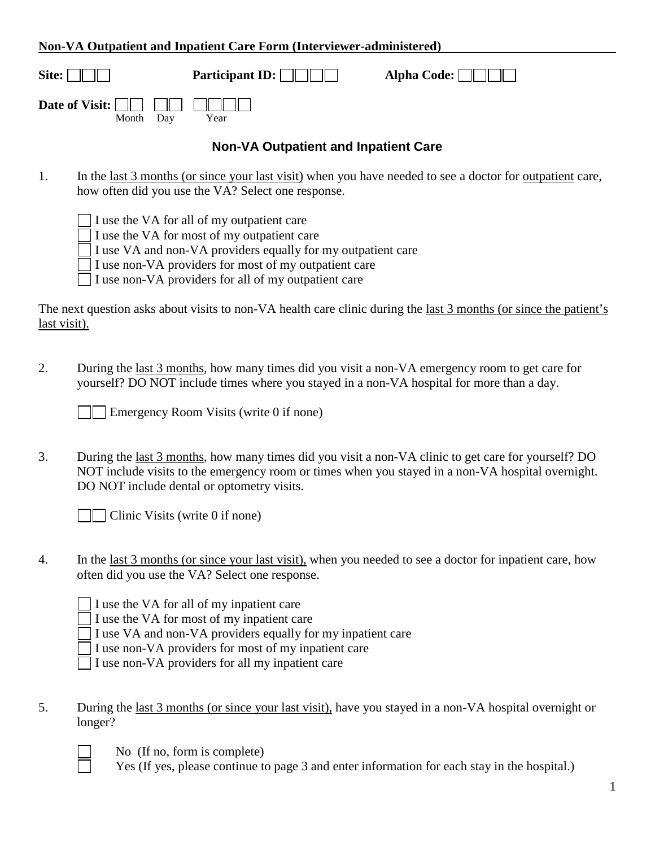## **Non-VA Outpatient and Inpatient Care Form (Interviewer-administered)**

| Site: $   \t  $                                          | Participant ID: $\Box$ | Alpha Code: $\Box$ |
|----------------------------------------------------------|------------------------|--------------------|
| Date of Visit: $\Box \Box \Box \Box \Box \Box \Box \Box$ |                        |                    |

## **Non-VA Outpatient and Inpatient Care**

- 1. In the <u>last 3 months (or since your last visit</u>) when you have needed to see a doctor for <u>outpatient</u> care, how often did you use the VA? Select one response.
	- I use the VA for all of my outpatient care

Month Day Year

- I use the VA for most of my outpatient care
- I use VA and non-VA providers equally for my outpatient care
- I use non-VA providers for most of my outpatient care
- I use non-VA providers for all of my outpatient care

The next question asks about visits to non-VA health care clinic during the <u>last 3 months (or since the patient's</u> last visit).

2. During the last 3 months, how many times did you visit a non-VA emergency room to get care for yourself? DO NOT include times where you stayed in a non-VA hospital for more than a day.

Emergency Room Visits (write 0 if none)

3. During the last 3 months, how many times did you visit a non-VA clinic to get care for yourself? DO NOT include visits to the emergency room or times when you stayed in a non-VA hospital overnight. DO NOT include dental or optometry visits.

 $\Box$  Clinic Visits (write 0 if none)

- 4. In the last 3 months (or since your last visit), when you needed to see a doctor for inpatient care, how often did you use the VA? Select one response.
	- I use the VA for all of my inpatient care
		- I use the VA for most of my inpatient care
		- I use VA and non-VA providers equally for my inpatient care
		- I use non-VA providers for most of my inpatient care
	- I use non-VA providers for all my inpatient care
- 5. During the last 3 months (or since your last visit), have you stayed in a non-VA hospital overnight or longer?

- No (If no, form is complete)
- Yes (If yes, please continue to page 3 and enter information for each stay in the hospital.)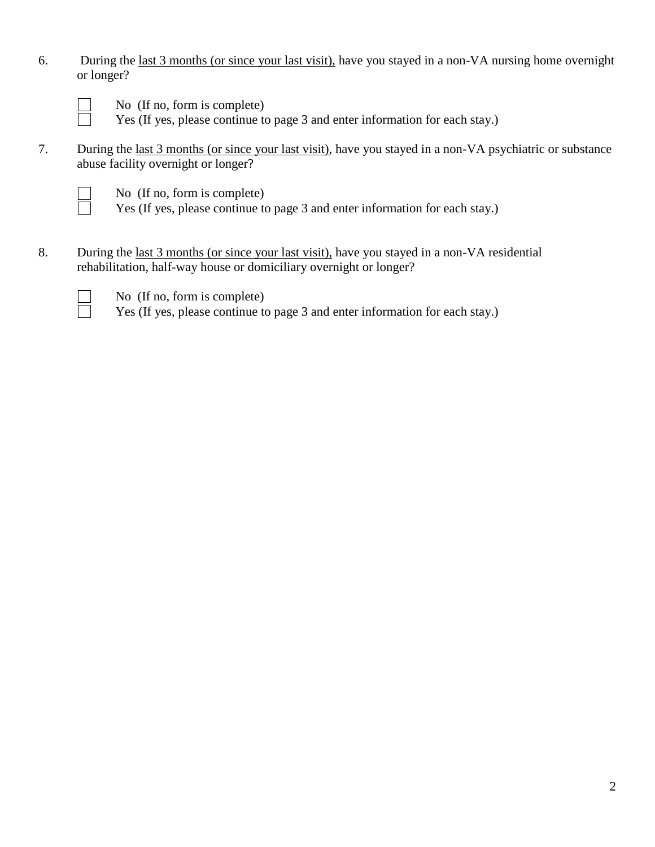6. During the last 3 months (or since your last visit), have you stayed in a non-VA nursing home overnight or longer?

No (If no, form is complete)

Yes (If yes, please continue to page 3 and enter information for each stay.)

7. During the last 3 months (or since your last visit), have you stayed in a non-VA psychiatric or substance abuse facility overnight or longer?

No (If no, form is complete)

Yes (If yes, please continue to page 3 and enter information for each stay.)

8. During the last 3 months (or since your last visit), have you stayed in a non-VA residential rehabilitation, half-way house or domiciliary overnight or longer?

No (If no, form is complete)

Yes (If yes, please continue to page 3 and enter information for each stay.)